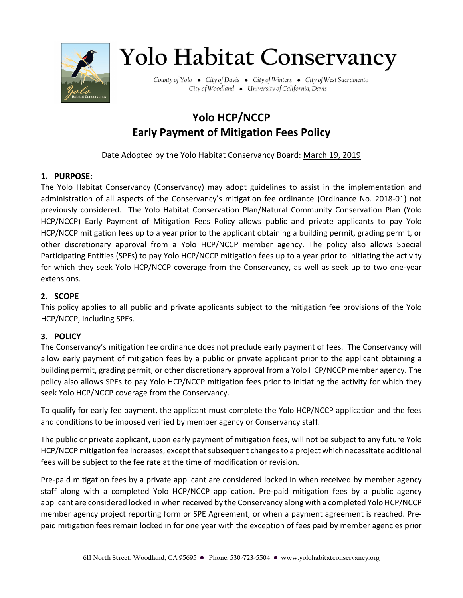

# **Yolo Habitat Conservancy**

County of Yolo • City of Davis • City of Winters • City of West Sacramento City of Woodland • University of California, Davis

## **Yolo HCP/NCCP Early Payment of Mitigation Fees Policy**

Date Adopted by the Yolo Habitat Conservancy Board: March 19, 2019

### **1. PURPOSE:**

The Yolo Habitat Conservancy (Conservancy) may adopt guidelines to assist in the implementation and administration of all aspects of the Conservancy's mitigation fee ordinance (Ordinance No. 2018-01) not previously considered. The Yolo Habitat Conservation Plan/Natural Community Conservation Plan (Yolo HCP/NCCP) Early Payment of Mitigation Fees Policy allows public and private applicants to pay Yolo HCP/NCCP mitigation fees up to a year prior to the applicant obtaining a building permit, grading permit, or other discretionary approval from a Yolo HCP/NCCP member agency. The policy also allows Special Participating Entities (SPEs) to pay Yolo HCP/NCCP mitigation fees up to a year prior to initiating the activity for which they seek Yolo HCP/NCCP coverage from the Conservancy, as well as seek up to two one-year extensions.

#### **2. SCOPE**

This policy applies to all public and private applicants subject to the mitigation fee provisions of the Yolo HCP/NCCP, including SPEs.

#### **3. POLICY**

The Conservancy's mitigation fee ordinance does not preclude early payment of fees. The Conservancy will allow early payment of mitigation fees by a public or private applicant prior to the applicant obtaining a building permit, grading permit, or other discretionary approval from a Yolo HCP/NCCP member agency. The policy also allows SPEs to pay Yolo HCP/NCCP mitigation fees prior to initiating the activity for which they seek Yolo HCP/NCCP coverage from the Conservancy.

To qualify for early fee payment, the applicant must complete the Yolo HCP/NCCP application and the fees and conditions to be imposed verified by member agency or Conservancy staff.

The public or private applicant, upon early payment of mitigation fees, will not be subject to any future Yolo HCP/NCCP mitigation fee increases, except that subsequent changes to a project which necessitate additional fees will be subject to the fee rate at the time of modification or revision.

Pre-paid mitigation fees by a private applicant are considered locked in when received by member agency staff along with a completed Yolo HCP/NCCP application. Pre-paid mitigation fees by a public agency applicant are considered locked in when received by the Conservancy along with a completed Yolo HCP/NCCP member agency project reporting form or SPE Agreement, or when a payment agreement is reached. Prepaid mitigation fees remain locked in for one year with the exception of fees paid by member agencies prior